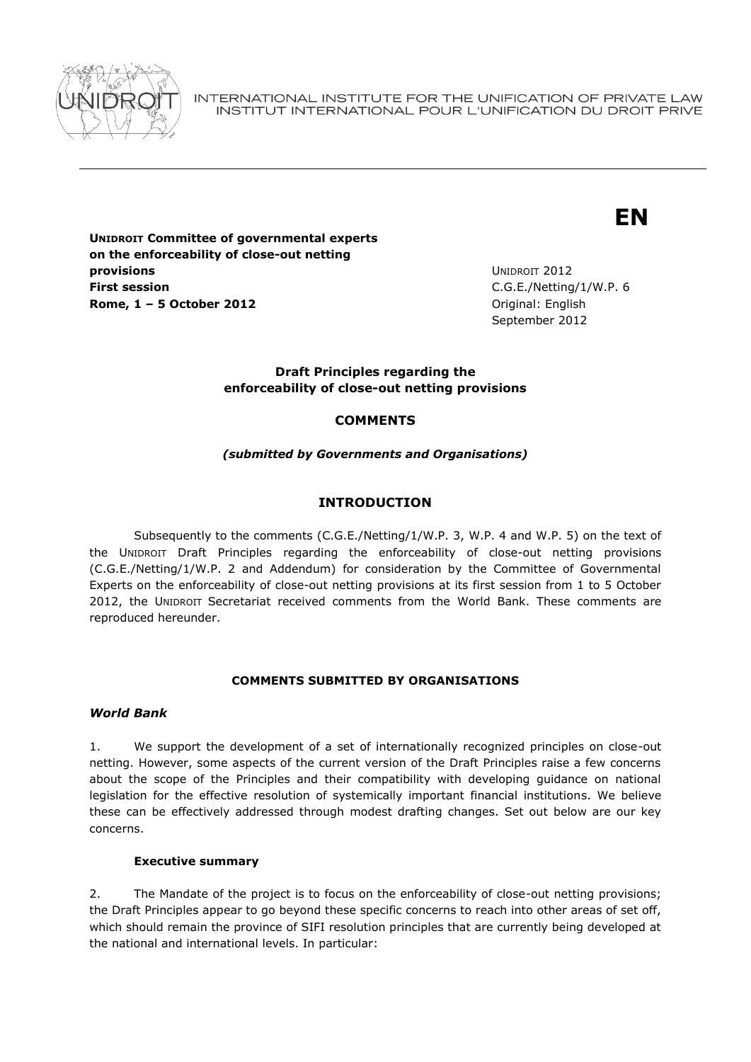

INTERNATIONAL INSTITUTE FOR THE UNIFICATION OF PRIVATE LAW INSTITUT INTERNATIONAL POUR L'UNIFICATION DU DROIT PRIVE

# **EN**

**UNIDROIT Committee of governmental experts on the enforceability of close-out netting provisions First session Rome, 1 – 5 October 2012** Original: English

UNIDROIT 2012 C.G.E./Netting/1/W.P. 6 September 2012

## **Draft Principles regarding the enforceability of close-out netting provisions**

# **COMMENTS**

## *(submitted by Governments and Organisations)*

# **INTRODUCTION**

Subsequently to the comments (C.G.E./Netting/1/W.P. 3, W.P. 4 and W.P. 5) on the text of the UNIDROIT Draft Principles regarding the enforceability of close-out netting provisions (C.G.E./Netting/1/W.P. 2 and Addendum) for consideration by the Committee of Governmental Experts on the enforceability of close-out netting provisions at its first session from 1 to 5 October 2012, the UNIDROIT Secretariat received comments from the World Bank. These comments are reproduced hereunder.

### **COMMENTS SUBMITTED BY ORGANISATIONS**

### *World Bank*

1. We support the development of a set of internationally recognized principles on close-out netting. However, some aspects of the current version of the Draft Principles raise a few concerns about the scope of the Principles and their compatibility with developing guidance on national legislation for the effective resolution of systemically important financial institutions. We believe these can be effectively addressed through modest drafting changes. Set out below are our key concerns.

### **Executive summary**

2. The Mandate of the project is to focus on the enforceability of close-out netting provisions; the Draft Principles appear to go beyond these specific concerns to reach into other areas of set off, which should remain the province of SIFI resolution principles that are currently being developed at the national and international levels. In particular: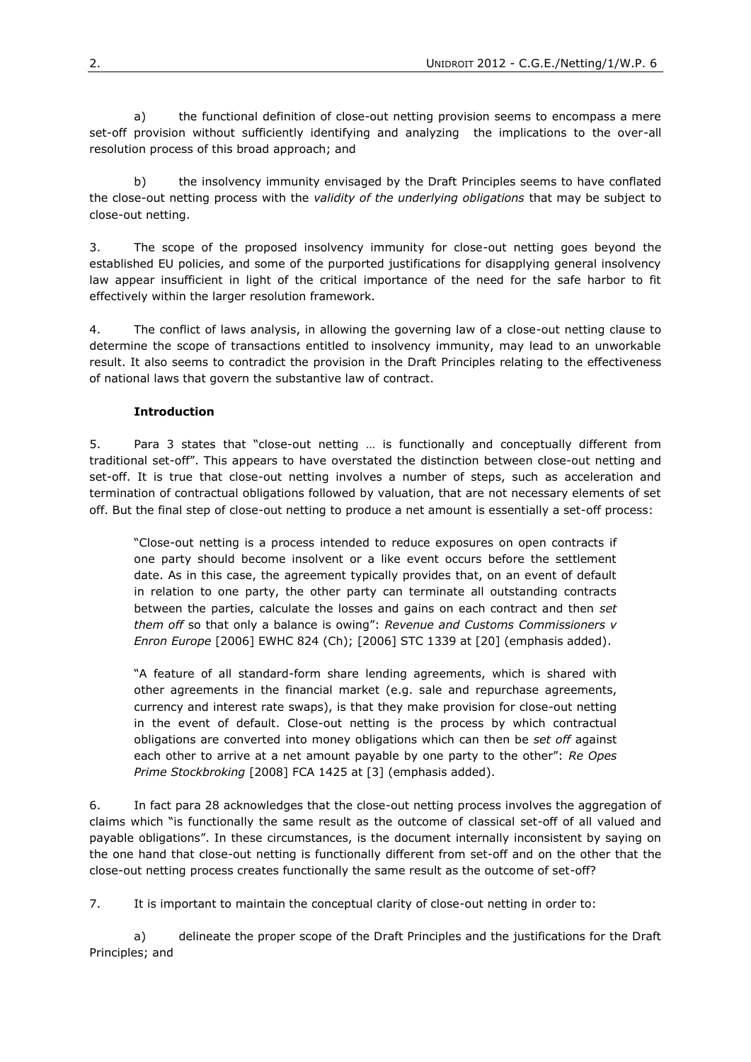a) the functional definition of close-out netting provision seems to encompass a mere set-off provision without sufficiently identifying and analyzing the implications to the over-all resolution process of this broad approach; and

b) the insolvency immunity envisaged by the Draft Principles seems to have conflated the close-out netting process with the *validity of the underlying obligations* that may be subject to close-out netting.

3. The scope of the proposed insolvency immunity for close-out netting goes beyond the established EU policies, and some of the purported justifications for disapplying general insolvency law appear insufficient in light of the critical importance of the need for the safe harbor to fit effectively within the larger resolution framework.

4. The conflict of laws analysis, in allowing the governing law of a close-out netting clause to determine the scope of transactions entitled to insolvency immunity, may lead to an unworkable result. It also seems to contradict the provision in the Draft Principles relating to the effectiveness of national laws that govern the substantive law of contract.

## **Introduction**

5. Para 3 states that "close-out netting … is functionally and conceptually different from traditional set-off". This appears to have overstated the distinction between close-out netting and set-off. It is true that close-out netting involves a number of steps, such as acceleration and termination of contractual obligations followed by valuation, that are not necessary elements of set off. But the final step of close-out netting to produce a net amount is essentially a set-off process:

"Close-out netting is a process intended to reduce exposures on open contracts if one party should become insolvent or a like event occurs before the settlement date. As in this case, the agreement typically provides that, on an event of default in relation to one party, the other party can terminate all outstanding contracts between the parties, calculate the losses and gains on each contract and then *set them off* so that only a balance is owing": *Revenue and Customs Commissioners v Enron Europe* [2006] EWHC 824 (Ch); [2006] STC 1339 at [20] (emphasis added).

"A feature of all standard-form share lending agreements, which is shared with other agreements in the financial market (e.g. sale and repurchase agreements, currency and interest rate swaps), is that they make provision for close-out netting in the event of default. Close-out netting is the process by which contractual obligations are converted into money obligations which can then be *set off* against each other to arrive at a net amount payable by one party to the other": *Re Opes Prime Stockbroking* [2008] FCA 1425 at [3] (emphasis added).

6. In fact para 28 acknowledges that the close-out netting process involves the aggregation of claims which "is functionally the same result as the outcome of classical set-off of all valued and payable obligations". In these circumstances, is the document internally inconsistent by saying on the one hand that close-out netting is functionally different from set-off and on the other that the close-out netting process creates functionally the same result as the outcome of set-off?

7. It is important to maintain the conceptual clarity of close-out netting in order to:

a) delineate the proper scope of the Draft Principles and the justifications for the Draft Principles; and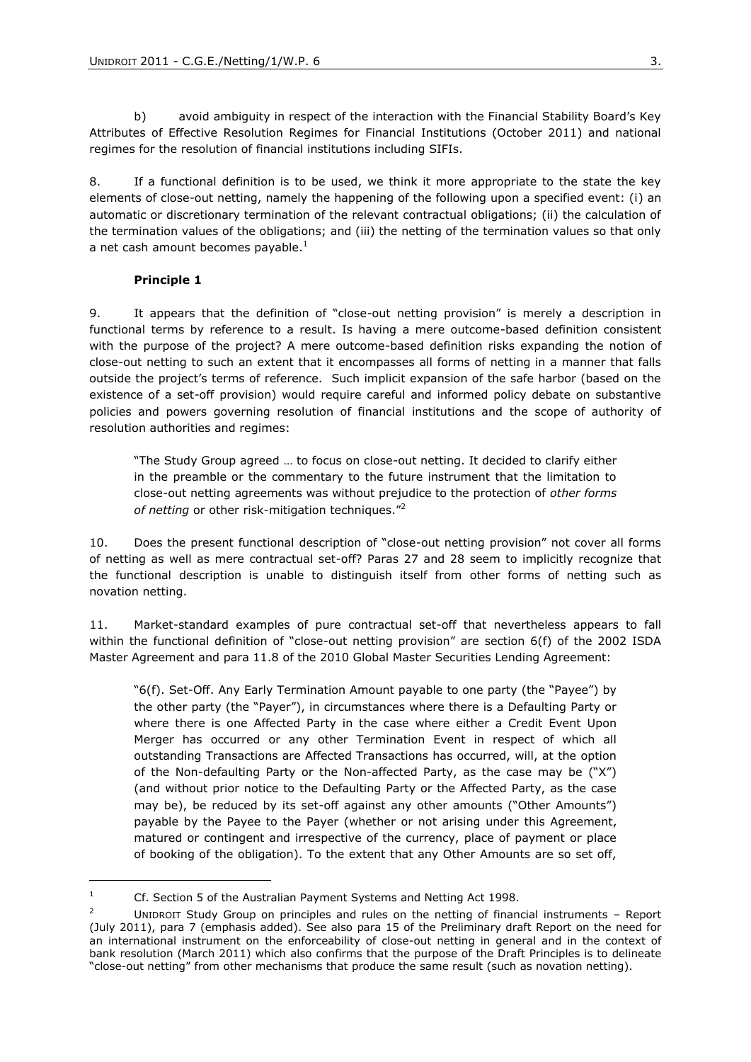b) avoid ambiguity in respect of the interaction with the Financial Stability Board's Key Attributes of Effective Resolution Regimes for Financial Institutions (October 2011) and national regimes for the resolution of financial institutions including SIFIs.

8. If a functional definition is to be used, we think it more appropriate to the state the key elements of close-out netting, namely the happening of the following upon a specified event: (i) an automatic or discretionary termination of the relevant contractual obligations; (ii) the calculation of the termination values of the obligations; and (iii) the netting of the termination values so that only a net cash amount becomes payable. $<sup>1</sup>$ </sup>

#### **Principle 1**

9. It appears that the definition of "close-out netting provision" is merely a description in functional terms by reference to a result. Is having a mere outcome-based definition consistent with the purpose of the project? A mere outcome-based definition risks expanding the notion of close-out netting to such an extent that it encompasses all forms of netting in a manner that falls outside the project's terms of reference. Such implicit expansion of the safe harbor (based on the existence of a set-off provision) would require careful and informed policy debate on substantive policies and powers governing resolution of financial institutions and the scope of authority of resolution authorities and regimes:

"The Study Group agreed … to focus on close-out netting. It decided to clarify either in the preamble or the commentary to the future instrument that the limitation to close-out netting agreements was without prejudice to the protection of *other forms of netting* or other risk-mitigation techniques."<sup>2</sup>

10. Does the present functional description of "close-out netting provision" not cover all forms of netting as well as mere contractual set-off? Paras 27 and 28 seem to implicitly recognize that the functional description is unable to distinguish itself from other forms of netting such as novation netting.

11. Market-standard examples of pure contractual set-off that nevertheless appears to fall within the functional definition of "close-out netting provision" are section 6(f) of the 2002 ISDA Master Agreement and para 11.8 of the 2010 Global Master Securities Lending Agreement:

"6(f). Set-Off. Any Early Termination Amount payable to one party (the "Payee") by the other party (the "Payer"), in circumstances where there is a Defaulting Party or where there is one Affected Party in the case where either a Credit Event Upon Merger has occurred or any other Termination Event in respect of which all outstanding Transactions are Affected Transactions has occurred, will, at the option of the Non-defaulting Party or the Non-affected Party, as the case may be ("X") (and without prior notice to the Defaulting Party or the Affected Party, as the case may be), be reduced by its set-off against any other amounts ("Other Amounts") payable by the Payee to the Payer (whether or not arising under this Agreement, matured or contingent and irrespective of the currency, place of payment or place of booking of the obligation). To the extent that any Other Amounts are so set off,

<sup>&</sup>lt;sup>1</sup> Cf. Section 5 of the Australian Payment Systems and Netting Act 1998.

UNIDROIT Study Group on principles and rules on the netting of financial instruments - Report (July 2011), para 7 (emphasis added). See also para 15 of the Preliminary draft Report on the need for an international instrument on the enforceability of close-out netting in general and in the context of bank resolution (March 2011) which also confirms that the purpose of the Draft Principles is to delineate "close-out netting" from other mechanisms that produce the same result (such as novation netting).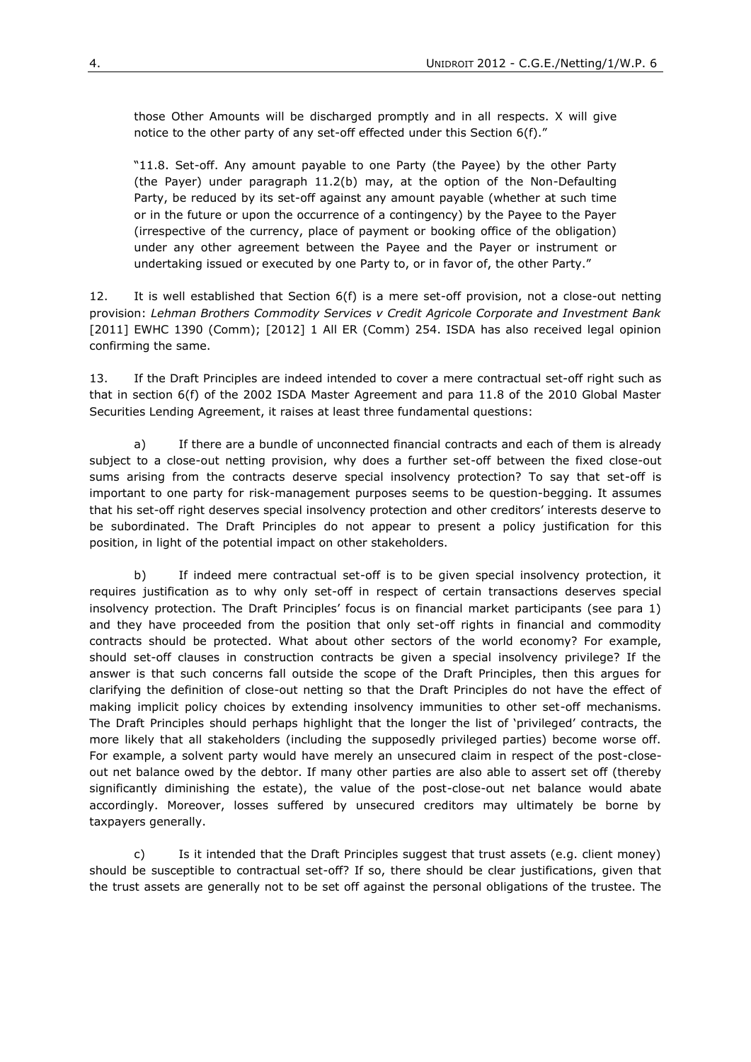those Other Amounts will be discharged promptly and in all respects. X will give notice to the other party of any set-off effected under this Section 6(f)."

"11.8. Set-off. Any amount payable to one Party (the Payee) by the other Party (the Payer) under paragraph 11.2(b) may, at the option of the Non-Defaulting Party, be reduced by its set-off against any amount payable (whether at such time or in the future or upon the occurrence of a contingency) by the Payee to the Payer (irrespective of the currency, place of payment or booking office of the obligation) under any other agreement between the Payee and the Payer or instrument or undertaking issued or executed by one Party to, or in favor of, the other Party."

12. It is well established that Section 6(f) is a mere set-off provision, not a close-out netting provision: *Lehman Brothers Commodity Services v Credit Agricole Corporate and Investment Bank* [2011] EWHC 1390 (Comm); [2012] 1 All ER (Comm) 254. ISDA has also received legal opinion confirming the same.

13. If the Draft Principles are indeed intended to cover a mere contractual set-off right such as that in section 6(f) of the 2002 ISDA Master Agreement and para 11.8 of the 2010 Global Master Securities Lending Agreement, it raises at least three fundamental questions:

a) If there are a bundle of unconnected financial contracts and each of them is already subject to a close-out netting provision, why does a further set-off between the fixed close-out sums arising from the contracts deserve special insolvency protection? To say that set-off is important to one party for risk-management purposes seems to be question-begging. It assumes that his set-off right deserves special insolvency protection and other creditors' interests deserve to be subordinated. The Draft Principles do not appear to present a policy justification for this position, in light of the potential impact on other stakeholders.

b) If indeed mere contractual set-off is to be given special insolvency protection, it requires justification as to why only set-off in respect of certain transactions deserves special insolvency protection. The Draft Principles' focus is on financial market participants (see para 1) and they have proceeded from the position that only set-off rights in financial and commodity contracts should be protected. What about other sectors of the world economy? For example, should set-off clauses in construction contracts be given a special insolvency privilege? If the answer is that such concerns fall outside the scope of the Draft Principles, then this argues for clarifying the definition of close-out netting so that the Draft Principles do not have the effect of making implicit policy choices by extending insolvency immunities to other set-off mechanisms. The Draft Principles should perhaps highlight that the longer the list of 'privileged' contracts, the more likely that all stakeholders (including the supposedly privileged parties) become worse off. For example, a solvent party would have merely an unsecured claim in respect of the post-closeout net balance owed by the debtor. If many other parties are also able to assert set off (thereby significantly diminishing the estate), the value of the post-close-out net balance would abate accordingly. Moreover, losses suffered by unsecured creditors may ultimately be borne by taxpayers generally.

c) Is it intended that the Draft Principles suggest that trust assets (e.g. client money) should be susceptible to contractual set-off? If so, there should be clear justifications, given that the trust assets are generally not to be set off against the personal obligations of the trustee. The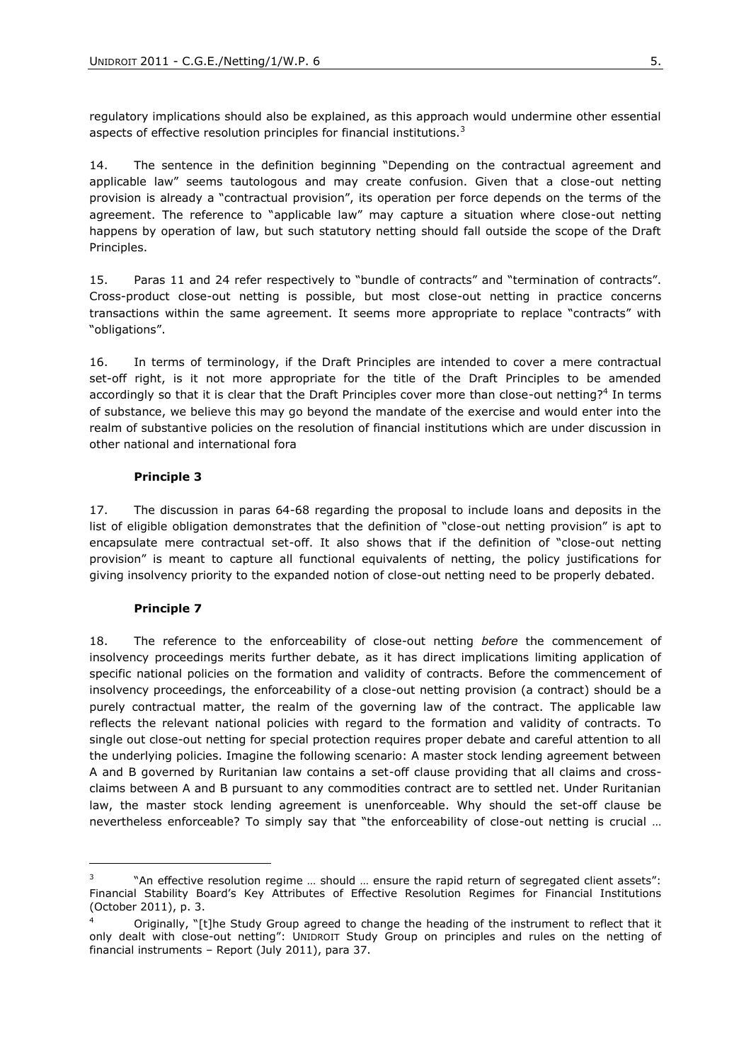regulatory implications should also be explained, as this approach would undermine other essential aspects of effective resolution principles for financial institutions.<sup>3</sup>

14. The sentence in the definition beginning "Depending on the contractual agreement and applicable law" seems tautologous and may create confusion. Given that a close-out netting provision is already a "contractual provision", its operation per force depends on the terms of the agreement. The reference to "applicable law" may capture a situation where close-out netting happens by operation of law, but such statutory netting should fall outside the scope of the Draft Principles.

15. Paras 11 and 24 refer respectively to "bundle of contracts" and "termination of contracts". Cross-product close-out netting is possible, but most close-out netting in practice concerns transactions within the same agreement. It seems more appropriate to replace "contracts" with "obligations".

16. In terms of terminology, if the Draft Principles are intended to cover a mere contractual set-off right, is it not more appropriate for the title of the Draft Principles to be amended accordingly so that it is clear that the Draft Principles cover more than close-out netting?<sup>4</sup> In terms of substance, we believe this may go beyond the mandate of the exercise and would enter into the realm of substantive policies on the resolution of financial institutions which are under discussion in other national and international fora

#### **Principle 3**

17. The discussion in paras 64-68 regarding the proposal to include loans and deposits in the list of eligible obligation demonstrates that the definition of "close-out netting provision" is apt to encapsulate mere contractual set-off. It also shows that if the definition of "close-out netting provision" is meant to capture all functional equivalents of netting, the policy justifications for giving insolvency priority to the expanded notion of close-out netting need to be properly debated.

### **Principle 7**

-

18. The reference to the enforceability of close-out netting *before* the commencement of insolvency proceedings merits further debate, as it has direct implications limiting application of specific national policies on the formation and validity of contracts. Before the commencement of insolvency proceedings, the enforceability of a close-out netting provision (a contract) should be a purely contractual matter, the realm of the governing law of the contract. The applicable law reflects the relevant national policies with regard to the formation and validity of contracts. To single out close-out netting for special protection requires proper debate and careful attention to all the underlying policies. Imagine the following scenario: A master stock lending agreement between A and B governed by Ruritanian law contains a set-off clause providing that all claims and crossclaims between A and B pursuant to any commodities contract are to settled net. Under Ruritanian law, the master stock lending agreement is unenforceable. Why should the set-off clause be nevertheless enforceable? To simply say that "the enforceability of close-out netting is crucial …

<sup>3</sup> "An effective resolution regime … should … ensure the rapid return of segregated client assets": Financial Stability Board's Key Attributes of Effective Resolution Regimes for Financial Institutions (October 2011), p. 3.

<sup>4</sup> Originally, "[t]he Study Group agreed to change the heading of the instrument to reflect that it only dealt with close-out netting": UNIDROIT Study Group on principles and rules on the netting of financial instruments – Report (July 2011), para 37.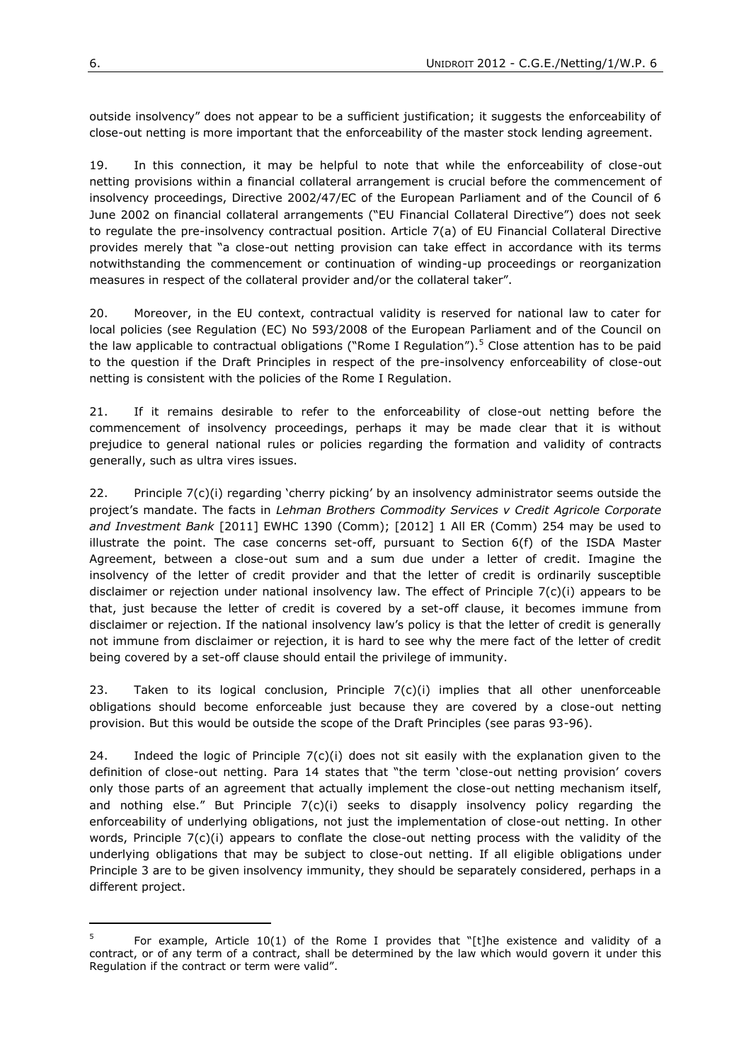outside insolvency" does not appear to be a sufficient justification; it suggests the enforceability of close-out netting is more important that the enforceability of the master stock lending agreement.

19. In this connection, it may be helpful to note that while the enforceability of close-out netting provisions within a financial collateral arrangement is crucial before the commencement of insolvency proceedings, Directive 2002/47/EC of the European Parliament and of the Council of 6 June 2002 on financial collateral arrangements ("EU Financial Collateral Directive") does not seek to regulate the pre-insolvency contractual position. Article 7(a) of EU Financial Collateral Directive provides merely that "a close-out netting provision can take effect in accordance with its terms notwithstanding the commencement or continuation of winding-up proceedings or reorganization measures in respect of the collateral provider and/or the collateral taker".

20. Moreover, in the EU context, contractual validity is reserved for national law to cater for local policies (see Regulation (EC) No 593/2008 of the European Parliament and of the Council on the law applicable to contractual obligations ("Rome I Regulation").<sup>5</sup> Close attention has to be paid to the question if the Draft Principles in respect of the pre-insolvency enforceability of close-out netting is consistent with the policies of the Rome I Regulation.

21. If it remains desirable to refer to the enforceability of close-out netting before the commencement of insolvency proceedings, perhaps it may be made clear that it is without prejudice to general national rules or policies regarding the formation and validity of contracts generally, such as ultra vires issues.

22. Principle 7(c)(i) regarding 'cherry picking' by an insolvency administrator seems outside the project's mandate. The facts in *Lehman Brothers Commodity Services v Credit Agricole Corporate and Investment Bank* [2011] EWHC 1390 (Comm); [2012] 1 All ER (Comm) 254 may be used to illustrate the point. The case concerns set-off, pursuant to Section 6(f) of the ISDA Master Agreement, between a close-out sum and a sum due under a letter of credit. Imagine the insolvency of the letter of credit provider and that the letter of credit is ordinarily susceptible disclaimer or rejection under national insolvency law. The effect of Principle 7(c)(i) appears to be that, just because the letter of credit is covered by a set-off clause, it becomes immune from disclaimer or rejection. If the national insolvency law's policy is that the letter of credit is generally not immune from disclaimer or rejection, it is hard to see why the mere fact of the letter of credit being covered by a set-off clause should entail the privilege of immunity.

23. Taken to its logical conclusion, Principle  $7(c)(i)$  implies that all other unenforceable obligations should become enforceable just because they are covered by a close-out netting provision. But this would be outside the scope of the Draft Principles (see paras 93-96).

24. Indeed the logic of Principle  $7(c)(i)$  does not sit easily with the explanation given to the definition of close-out netting. Para 14 states that "the term 'close-out netting provision' covers only those parts of an agreement that actually implement the close-out netting mechanism itself, and nothing else." But Principle  $7(c)(i)$  seeks to disapply insolvency policy regarding the enforceability of underlying obligations, not just the implementation of close-out netting. In other words, Principle 7(c)(i) appears to conflate the close-out netting process with the validity of the underlying obligations that may be subject to close-out netting. If all eligible obligations under Principle 3 are to be given insolvency immunity, they should be separately considered, perhaps in a different project.

1

<sup>5</sup> For example, Article 10(1) of the Rome I provides that "[t]he existence and validity of a contract, or of any term of a contract, shall be determined by the law which would govern it under this Regulation if the contract or term were valid".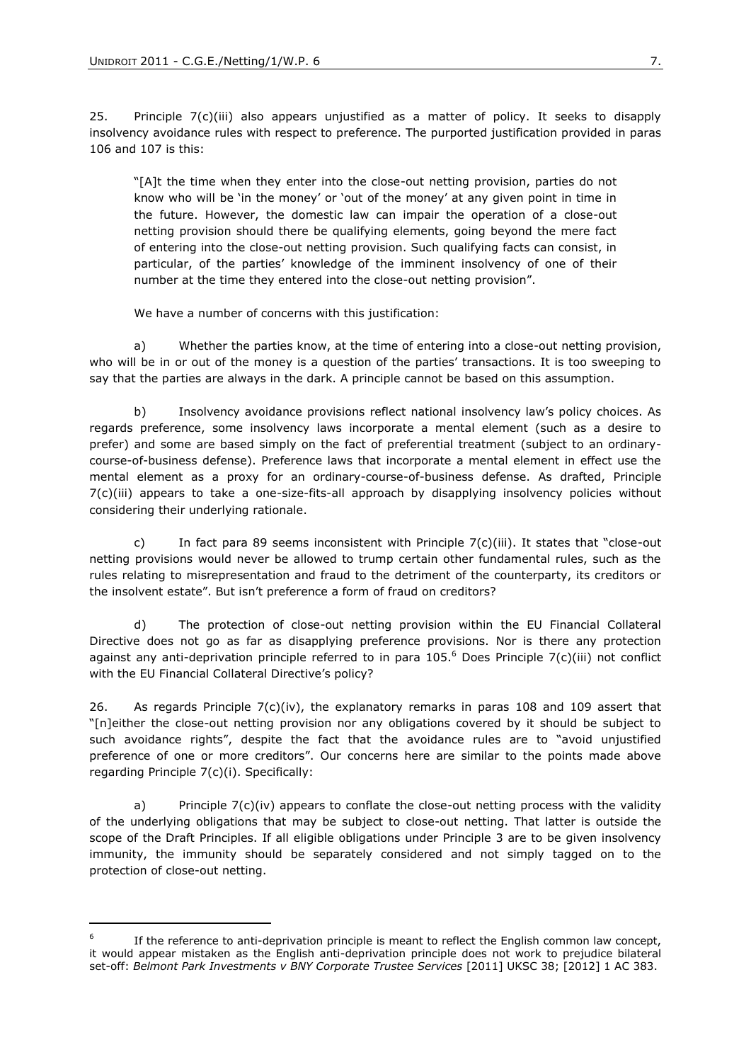1

25. Principle  $7(c)$ (iii) also appears unjustified as a matter of policy. It seeks to disapply insolvency avoidance rules with respect to preference. The purported justification provided in paras 106 and 107 is this:

"[A]t the time when they enter into the close-out netting provision, parties do not know who will be 'in the money' or 'out of the money' at any given point in time in the future. However, the domestic law can impair the operation of a close-out netting provision should there be qualifying elements, going beyond the mere fact of entering into the close-out netting provision. Such qualifying facts can consist, in particular, of the parties' knowledge of the imminent insolvency of one of their number at the time they entered into the close-out netting provision".

We have a number of concerns with this justification:

a) Whether the parties know, at the time of entering into a close-out netting provision, who will be in or out of the money is a question of the parties' transactions. It is too sweeping to say that the parties are always in the dark. A principle cannot be based on this assumption.

b) Insolvency avoidance provisions reflect national insolvency law's policy choices. As regards preference, some insolvency laws incorporate a mental element (such as a desire to prefer) and some are based simply on the fact of preferential treatment (subject to an ordinarycourse-of-business defense). Preference laws that incorporate a mental element in effect use the mental element as a proxy for an ordinary-course-of-business defense. As drafted, Principle 7(c)(iii) appears to take a one-size-fits-all approach by disapplying insolvency policies without considering their underlying rationale.

c) In fact para 89 seems inconsistent with Principle  $7(c)(iii)$ . It states that "close-out netting provisions would never be allowed to trump certain other fundamental rules, such as the rules relating to misrepresentation and fraud to the detriment of the counterparty, its creditors or the insolvent estate". But isn't preference a form of fraud on creditors?

d) The protection of close-out netting provision within the EU Financial Collateral Directive does not go as far as disapplying preference provisions. Nor is there any protection against any anti-deprivation principle referred to in para  $105<sup>6</sup>$  Does Principle 7(c)(iii) not conflict with the EU Financial Collateral Directive's policy?

26. As regards Principle  $7(c)(iv)$ , the explanatory remarks in paras 108 and 109 assert that "[n]either the close-out netting provision nor any obligations covered by it should be subject to such avoidance rights", despite the fact that the avoidance rules are to "avoid unjustified preference of one or more creditors". Our concerns here are similar to the points made above regarding Principle 7(c)(i). Specifically:

a) Principle  $7(c)(iv)$  appears to conflate the close-out netting process with the validity of the underlying obligations that may be subject to close-out netting. That latter is outside the scope of the Draft Principles. If all eligible obligations under Principle 3 are to be given insolvency immunity, the immunity should be separately considered and not simply tagged on to the protection of close-out netting.

<sup>6</sup> If the reference to anti-deprivation principle is meant to reflect the English common law concept, it would appear mistaken as the English anti-deprivation principle does not work to prejudice bilateral set-off: *Belmont Park Investments v BNY Corporate Trustee Services* [2011] UKSC 38; [2012] 1 AC 383.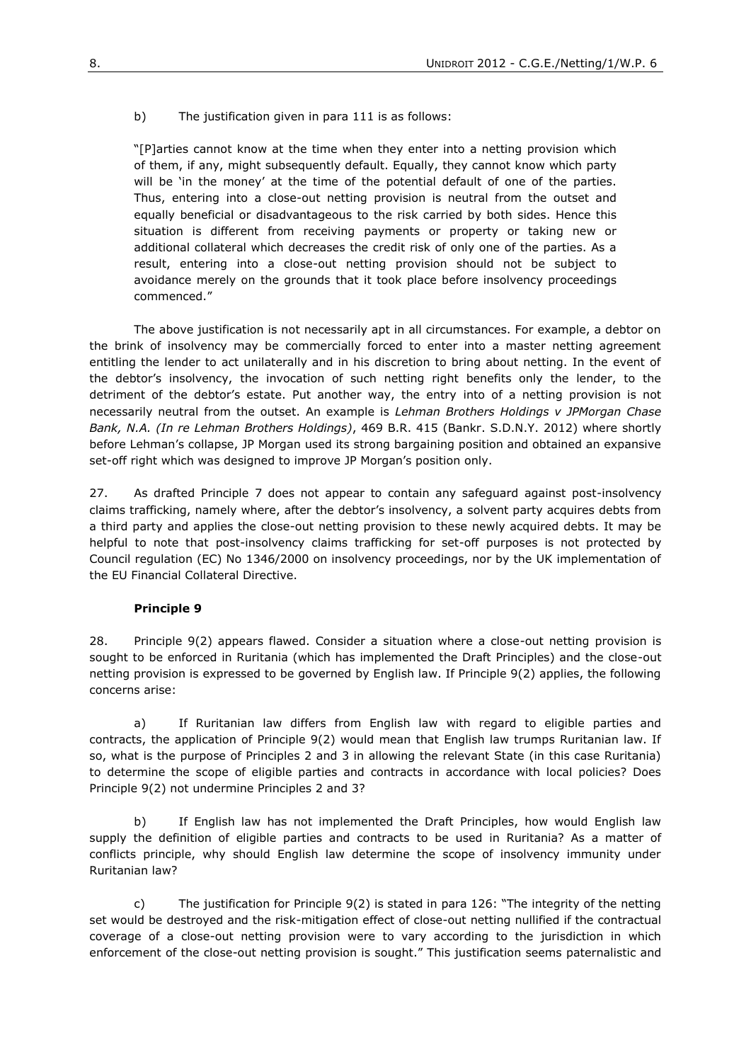b) The justification given in para 111 is as follows:

"[P]arties cannot know at the time when they enter into a netting provision which of them, if any, might subsequently default. Equally, they cannot know which party will be 'in the money' at the time of the potential default of one of the parties. Thus, entering into a close-out netting provision is neutral from the outset and equally beneficial or disadvantageous to the risk carried by both sides. Hence this situation is different from receiving payments or property or taking new or additional collateral which decreases the credit risk of only one of the parties. As a result, entering into a close-out netting provision should not be subject to avoidance merely on the grounds that it took place before insolvency proceedings commenced."

The above justification is not necessarily apt in all circumstances. For example, a debtor on the brink of insolvency may be commercially forced to enter into a master netting agreement entitling the lender to act unilaterally and in his discretion to bring about netting. In the event of the debtor's insolvency, the invocation of such netting right benefits only the lender, to the detriment of the debtor's estate. Put another way, the entry into of a netting provision is not necessarily neutral from the outset. An example is *Lehman Brothers Holdings v JPMorgan Chase Bank, N.A. (In re Lehman Brothers Holdings)*, 469 B.R. 415 (Bankr. S.D.N.Y. 2012) where shortly before Lehman's collapse, JP Morgan used its strong bargaining position and obtained an expansive set-off right which was designed to improve JP Morgan's position only.

27. As drafted Principle 7 does not appear to contain any safeguard against post-insolvency claims trafficking, namely where, after the debtor's insolvency, a solvent party acquires debts from a third party and applies the close-out netting provision to these newly acquired debts. It may be helpful to note that post-insolvency claims trafficking for set-off purposes is not protected by Council regulation (EC) No 1346/2000 on insolvency proceedings, nor by the UK implementation of the EU Financial Collateral Directive.

### **Principle 9**

28. Principle 9(2) appears flawed. Consider a situation where a close-out netting provision is sought to be enforced in Ruritania (which has implemented the Draft Principles) and the close-out netting provision is expressed to be governed by English law. If Principle 9(2) applies, the following concerns arise:

a) If Ruritanian law differs from English law with regard to eligible parties and contracts, the application of Principle 9(2) would mean that English law trumps Ruritanian law. If so, what is the purpose of Principles 2 and 3 in allowing the relevant State (in this case Ruritania) to determine the scope of eligible parties and contracts in accordance with local policies? Does Principle 9(2) not undermine Principles 2 and 3?

b) If English law has not implemented the Draft Principles, how would English law supply the definition of eligible parties and contracts to be used in Ruritania? As a matter of conflicts principle, why should English law determine the scope of insolvency immunity under Ruritanian law?

c) The justification for Principle 9(2) is stated in para 126: "The integrity of the netting set would be destroyed and the risk-mitigation effect of close-out netting nullified if the contractual coverage of a close-out netting provision were to vary according to the jurisdiction in which enforcement of the close-out netting provision is sought." This justification seems paternalistic and